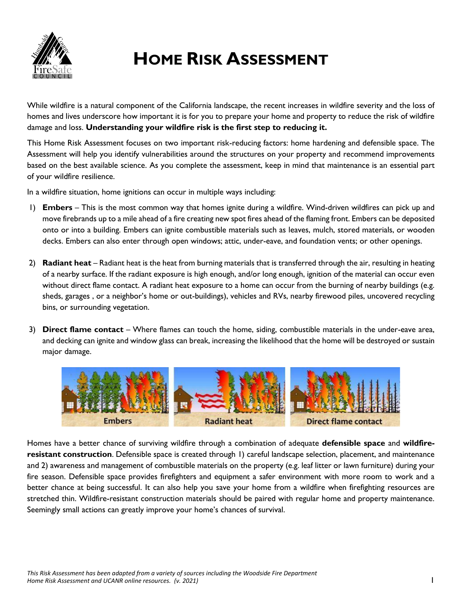

## **HOME RISK ASSESSMENT**

While wildfire is a natural component of the California landscape, the recent increases in wildfire severity and the loss of homes and lives underscore how important it is for you to prepare your home and property to reduce the risk of wildfire damage and loss. **Understanding your wildfire risk is the first step to reducing it.**

This Home Risk Assessment focuses on two important risk-reducing factors: home hardening and defensible space. The Assessment will help you identify vulnerabilities around the structures on your property and recommend improvements based on the best available science. As you complete the assessment, keep in mind that maintenance is an essential part of your wildfire resilience.

In a wildfire situation, home ignitions can occur in multiple ways including:

- 1) **Embers** This is the most common way that homes ignite during a wildfire. Wind-driven wildfires can pick up and move firebrands up to a mile ahead of a fire creating new spot fires ahead of the flaming front. Embers can be deposited onto or into a building. Embers can ignite combustible materials such as leaves, mulch, stored materials, or wooden decks. Embers can also enter through open windows; attic, under-eave, and foundation vents; or other openings.
- 2) **Radiant heat** Radiant heat is the heat from burning materials that is transferred through the air, resulting in heating of a nearby surface. If the radiant exposure is high enough, and/or long enough, ignition of the material can occur even without direct flame contact. A radiant heat exposure to a home can occur from the burning of nearby buildings (e.g. sheds, garages , or a neighbor's home or out-buildings), vehicles and RVs, nearby firewood piles, uncovered recycling bins, or surrounding vegetation.
- 3) **Direct flame contact** Where flames can touch the home, siding, combustible materials in the under-eave area, and decking can ignite and window glass can break, increasing the likelihood that the home will be destroyed or sustain major damage.



Homes have a better chance of surviving wildfire through a combination of adequate **defensible space** and **wildfireresistant construction**. Defensible space is created through 1) careful landscape selection, placement, and maintenance and 2) awareness and management of combustible materials on the property (e.g. leaf litter or lawn furniture) during your fire season. Defensible space provides firefighters and equipment a safer environment with more room to work and a better chance at being successful. It can also help you save your home from a wildfire when firefighting resources are stretched thin. Wildfire-resistant construction materials should be paired with regular home and property maintenance. Seemingly small actions can greatly improve your home's chances of survival.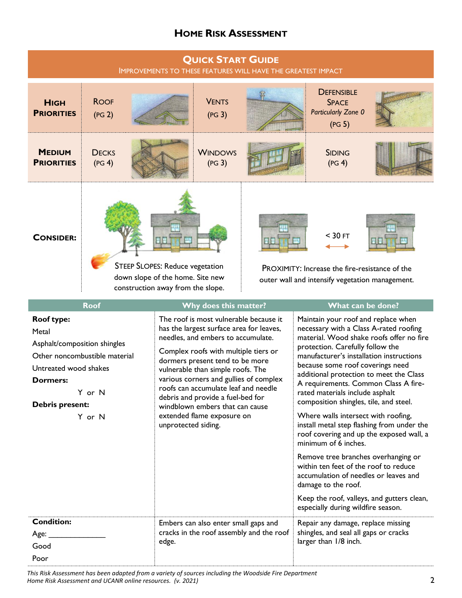## **HOME RISK ASSESSMENT**

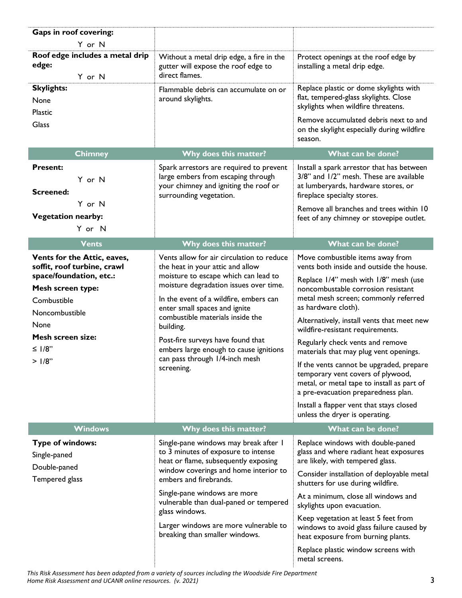| <b>Gaps in roof covering:</b><br>Y or N                                                                                                                                                                     |                                                                                                                                                                                                                                                                                                                                                                                                                            |                                                                                                                                                                                                                                                                                                                                                                                                                                                                                                                                                                                                                                                |
|-------------------------------------------------------------------------------------------------------------------------------------------------------------------------------------------------------------|----------------------------------------------------------------------------------------------------------------------------------------------------------------------------------------------------------------------------------------------------------------------------------------------------------------------------------------------------------------------------------------------------------------------------|------------------------------------------------------------------------------------------------------------------------------------------------------------------------------------------------------------------------------------------------------------------------------------------------------------------------------------------------------------------------------------------------------------------------------------------------------------------------------------------------------------------------------------------------------------------------------------------------------------------------------------------------|
| Roof edge includes a metal drip<br>edge:<br>Y or N                                                                                                                                                          | Without a metal drip edge, a fire in the<br>gutter will expose the roof edge to<br>direct flames.                                                                                                                                                                                                                                                                                                                          | Protect openings at the roof edge by<br>installing a metal drip edge.                                                                                                                                                                                                                                                                                                                                                                                                                                                                                                                                                                          |
| <b>Skylights:</b><br>None<br>Plastic                                                                                                                                                                        | Flammable debris can accumulate on or<br>around skylights.                                                                                                                                                                                                                                                                                                                                                                 | Replace plastic or dome skylights with<br>flat, tempered-glass skylights. Close<br>skylights when wildfire threatens.                                                                                                                                                                                                                                                                                                                                                                                                                                                                                                                          |
| <b>Glass</b>                                                                                                                                                                                                |                                                                                                                                                                                                                                                                                                                                                                                                                            | Remove accumulated debris next to and<br>on the skylight especially during wildfire<br>season.                                                                                                                                                                                                                                                                                                                                                                                                                                                                                                                                                 |
| <b>Chimney</b>                                                                                                                                                                                              | Why does this matter?                                                                                                                                                                                                                                                                                                                                                                                                      | What can be done?                                                                                                                                                                                                                                                                                                                                                                                                                                                                                                                                                                                                                              |
| <b>Present:</b><br>Y or N<br><b>Screened:</b><br>Y or N<br><b>Vegetation nearby:</b><br>Y or N                                                                                                              | Spark arrestors are required to prevent<br>large embers from escaping through<br>your chimney and igniting the roof or<br>surrounding vegetation.                                                                                                                                                                                                                                                                          | Install a spark arrestor that has between<br>3/8" and 1/2" mesh. These are available<br>at lumberyards, hardware stores, or<br>fireplace specialty stores.<br>Remove all branches and trees within 10<br>feet of any chimney or stovepipe outlet.                                                                                                                                                                                                                                                                                                                                                                                              |
| <b>Vents</b>                                                                                                                                                                                                | Why does this matter?                                                                                                                                                                                                                                                                                                                                                                                                      | What can be done?                                                                                                                                                                                                                                                                                                                                                                                                                                                                                                                                                                                                                              |
| Vents for the Attic, eaves,<br>soffit, roof turbine, crawl<br>space/foundation, etc.:<br><b>Mesh screen type:</b><br>Combustible<br>Noncombustible<br>None<br><b>Mesh screen size:</b><br>$≤ 1/8"$<br>>1/8" | Vents allow for air circulation to reduce<br>the heat in your attic and allow<br>moisture to escape which can lead to<br>moisture degradation issues over time.<br>In the event of a wildfire, embers can<br>enter small spaces and ignite<br>combustible materials inside the<br>building.<br>Post-fire surveys have found that<br>embers large enough to cause ignitions<br>can pass through 1/4-inch mesh<br>screening. | Move combustible items away from<br>vents both inside and outside the house.<br>Replace 1/4" mesh with 1/8" mesh (use<br>noncombustable corrosion resistant<br>metal mesh screen; commonly referred<br>as hardware cloth).<br>Alternatively, install vents that meet new<br>wildfire-resistant requirements.<br>Regularly check vents and remove<br>materials that may plug vent openings.<br>If the vents cannot be upgraded, prepare<br>temporary vent covers of plywood,<br>metal, or metal tape to install as part of<br>a pre-evacuation preparedness plan.<br>Install a flapper vent that stays closed<br>unless the dryer is operating. |
| <b>Windows</b>                                                                                                                                                                                              | Why does this matter?                                                                                                                                                                                                                                                                                                                                                                                                      | What can be done?                                                                                                                                                                                                                                                                                                                                                                                                                                                                                                                                                                                                                              |
| Type of windows:<br>Single-paned<br>Double-paned<br>Tempered glass                                                                                                                                          | Single-pane windows may break after I<br>to 3 minutes of exposure to intense<br>heat or flame, subsequently exposing<br>window coverings and home interior to<br>embers and firebrands.                                                                                                                                                                                                                                    | Replace windows with double-paned<br>glass and where radiant heat exposures<br>are likely, with tempered glass.<br>Consider installation of deployable metal<br>shutters for use during wildfire.                                                                                                                                                                                                                                                                                                                                                                                                                                              |
|                                                                                                                                                                                                             | Single-pane windows are more<br>vulnerable than dual-paned or tempered<br>glass windows.<br>Larger windows are more vulnerable to                                                                                                                                                                                                                                                                                          | At a minimum, close all windows and<br>skylights upon evacuation.<br>Keep vegetation at least 5 feet from                                                                                                                                                                                                                                                                                                                                                                                                                                                                                                                                      |
|                                                                                                                                                                                                             | breaking than smaller windows.                                                                                                                                                                                                                                                                                                                                                                                             | windows to avoid glass failure caused by<br>heat exposure from burning plants.<br>Replace plastic window screens with<br>metal screens.                                                                                                                                                                                                                                                                                                                                                                                                                                                                                                        |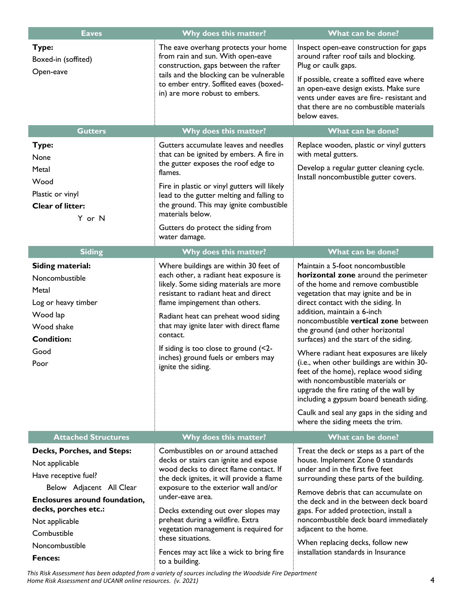| <b>Eaves</b>                                                                                                                                                                                                        | Why does this matter?                                                                                                                                                                                                                                                                                                                                                                                               | What can be done?                                                                                                                                                                                                                                                                                                                                                                                                                                                                                                                                                                                                                                                                               |
|---------------------------------------------------------------------------------------------------------------------------------------------------------------------------------------------------------------------|---------------------------------------------------------------------------------------------------------------------------------------------------------------------------------------------------------------------------------------------------------------------------------------------------------------------------------------------------------------------------------------------------------------------|-------------------------------------------------------------------------------------------------------------------------------------------------------------------------------------------------------------------------------------------------------------------------------------------------------------------------------------------------------------------------------------------------------------------------------------------------------------------------------------------------------------------------------------------------------------------------------------------------------------------------------------------------------------------------------------------------|
| Type:<br>Boxed-in (soffited)<br>Open-eave                                                                                                                                                                           | The eave overhang protects your home<br>from rain and sun. With open-eave<br>construction, gaps between the rafter<br>tails and the blocking can be vulnerable<br>to ember entry. Soffited eaves (boxed-<br>in) are more robust to embers.                                                                                                                                                                          | Inspect open-eave construction for gaps<br>around rafter roof tails and blocking.<br>Plug or caulk gaps.<br>If possible, create a soffited eave where<br>an open-eave design exists. Make sure<br>vents under eaves are fire- resistant and<br>that there are no combustible materials<br>below eaves.                                                                                                                                                                                                                                                                                                                                                                                          |
| <b>Gutters</b>                                                                                                                                                                                                      | Why does this matter?                                                                                                                                                                                                                                                                                                                                                                                               | What can be done?                                                                                                                                                                                                                                                                                                                                                                                                                                                                                                                                                                                                                                                                               |
| Type:<br>None<br>Metal<br>Wood<br>Plastic or vinyl<br><b>Clear of litter:</b><br>Y or N                                                                                                                             | Gutters accumulate leaves and needles<br>that can be ignited by embers. A fire in<br>the gutter exposes the roof edge to<br>flames.<br>Fire in plastic or vinyl gutters will likely<br>lead to the gutter melting and falling to<br>the ground. This may ignite combustible<br>materials below.<br>Gutters do protect the siding from<br>water damage.                                                              | Replace wooden, plastic or vinyl gutters<br>with metal gutters.<br>Develop a regular gutter cleaning cycle.<br>Install noncombustible gutter covers.                                                                                                                                                                                                                                                                                                                                                                                                                                                                                                                                            |
| <b>Siding</b>                                                                                                                                                                                                       | Why does this matter?                                                                                                                                                                                                                                                                                                                                                                                               | What can be done?                                                                                                                                                                                                                                                                                                                                                                                                                                                                                                                                                                                                                                                                               |
| <b>Siding material:</b><br>Noncombustible<br>Metal<br>Log or heavy timber<br>Wood lap<br>Wood shake<br><b>Condition:</b><br>Good<br>Poor                                                                            | Where buildings are within 30 feet of<br>each other, a radiant heat exposure is<br>likely. Some siding materials are more<br>resistant to radiant heat and direct<br>flame impingement than others.<br>Radiant heat can preheat wood siding<br>that may ignite later with direct flame<br>contact.<br>If siding is too close to ground $(2$ -<br>inches) ground fuels or embers may<br>ignite the siding.           | Maintain a 5-foot noncombustible<br>horizontal zone around the perimeter<br>of the home and remove combustible<br>vegetation that may ignite and be in<br>direct contact with the siding. In<br>addition, maintain a 6-inch<br>noncombustible vertical zone between<br>the ground (and other horizontal<br>surfaces) and the start of the siding.<br>Where radiant heat exposures are likely<br>(i.e., when other buildings are within 30-<br>feet of the home), replace wood siding<br>with noncombustible materials or<br>upgrade the fire rating of the wall by<br>including a gypsum board beneath siding.<br>Caulk and seal any gaps in the siding and<br>where the siding meets the trim. |
| <b>Attached Structures</b>                                                                                                                                                                                          | Why does this matter?                                                                                                                                                                                                                                                                                                                                                                                               | What can be done?                                                                                                                                                                                                                                                                                                                                                                                                                                                                                                                                                                                                                                                                               |
| Decks, Porches, and Steps:<br>Not applicable<br>Have receptive fuel?<br>Below Adjacent All Clear<br><b>Enclosures around foundation,</b><br>decks, porches etc.:<br>Not applicable<br>Combustible<br>Noncombustible | Combustibles on or around attached<br>decks or stairs can ignite and expose<br>wood decks to direct flame contact. If<br>the deck ignites, it will provide a flame<br>exposure to the exterior wall and/or<br>under-eave area.<br>Decks extending out over slopes may<br>preheat during a wildfire. Extra<br>vegetation management is required for<br>these situations.<br>Fences may act like a wick to bring fire | Treat the deck or steps as a part of the<br>house. Implement Zone 0 standards<br>under and in the first five feet<br>surrounding these parts of the building.<br>Remove debris that can accumulate on<br>the deck and in the between deck board<br>gaps. For added protection, install a<br>noncombustible deck board immediately<br>adjacent to the home.<br>When replacing decks, follow new<br>installation standards in Insurance                                                                                                                                                                                                                                                           |
| <b>Fences:</b>                                                                                                                                                                                                      | to a building.                                                                                                                                                                                                                                                                                                                                                                                                      |                                                                                                                                                                                                                                                                                                                                                                                                                                                                                                                                                                                                                                                                                                 |

*This Risk Assessment has been adapted from a variety of sources including the Woodside Fire Department Home Risk Assessment and UCANR online resources. (v. 2021)* 4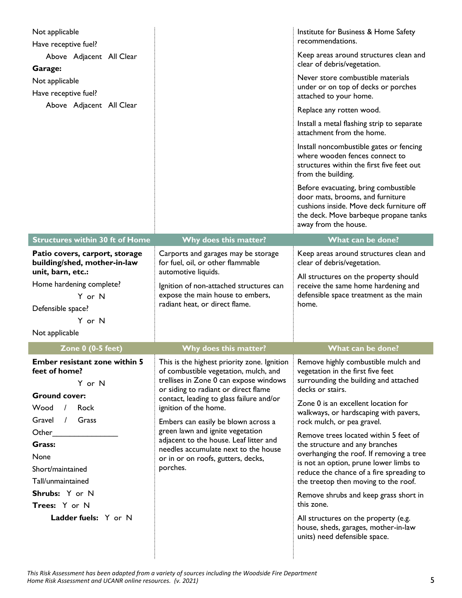|                                                                                      | Institute for Business & Home Safety<br>recommendations.                                                                                                                              |
|--------------------------------------------------------------------------------------|---------------------------------------------------------------------------------------------------------------------------------------------------------------------------------------|
|                                                                                      | Keep areas around structures clean and<br>clear of debris/vegetation.                                                                                                                 |
|                                                                                      | Never store combustible materials<br>under or on top of decks or porches<br>attached to your home.                                                                                    |
|                                                                                      | Replace any rotten wood.                                                                                                                                                              |
|                                                                                      | Install a metal flashing strip to separate<br>attachment from the home.                                                                                                               |
|                                                                                      | Install noncombustible gates or fencing<br>where wooden fences connect to<br>structures within the first five feet out<br>from the building.                                          |
|                                                                                      | Before evacuating, bring combustible<br>door mats, brooms, and furniture<br>cushions inside. Move deck furniture off<br>the deck. Move barbeque propane tanks<br>away from the house. |
| Why does this matter?                                                                | What can be done?                                                                                                                                                                     |
| Carports and garages may be storage<br>for fuel, oil, or other flammable             | Keep areas around structures clean and<br>clear of debris/vegetation.                                                                                                                 |
|                                                                                      | All structures on the property should                                                                                                                                                 |
| expose the main house to embers,                                                     | receive the same home hardening and<br>defensible space treatment as the main                                                                                                         |
| radiant heat, or direct flame.                                                       | home.                                                                                                                                                                                 |
|                                                                                      |                                                                                                                                                                                       |
|                                                                                      |                                                                                                                                                                                       |
|                                                                                      |                                                                                                                                                                                       |
| Why does this matter?                                                                | What can be done?                                                                                                                                                                     |
| This is the highest priority zone. Ignition<br>of combustible vegetation, mulch, and | Remove highly combustible mulch and<br>vegetation in the first five feet                                                                                                              |
| trellises in Zone 0 can expose windows<br>or siding to radiant or direct flame       | surrounding the building and attached<br>decks or stairs.                                                                                                                             |
| contact, leading to glass failure and/or                                             | Zone 0 is an excellent location for                                                                                                                                                   |
| ignition of the home.                                                                | walkways, or hardscaping with pavers,                                                                                                                                                 |
| Embers can easily be blown across a<br>green lawn and ignite vegetation              | rock mulch, or pea gravel.                                                                                                                                                            |
| adjacent to the house. Leaf litter and                                               | Remove trees located within 5 feet of<br>the structure and any branches                                                                                                               |
| needles accumulate next to the house<br>or in or on roofs, gutters, decks,           | overhanging the roof. If removing a tree                                                                                                                                              |
| porches.                                                                             | is not an option, prune lower limbs to<br>reduce the chance of a fire spreading to                                                                                                    |
|                                                                                      | the treetop then moving to the roof.                                                                                                                                                  |
|                                                                                      | Remove shrubs and keep grass short in                                                                                                                                                 |
|                                                                                      | this zone.<br>All structures on the property (e.g.                                                                                                                                    |
|                                                                                      | automotive liquids.<br>Ignition of non-attached structures can                                                                                                                        |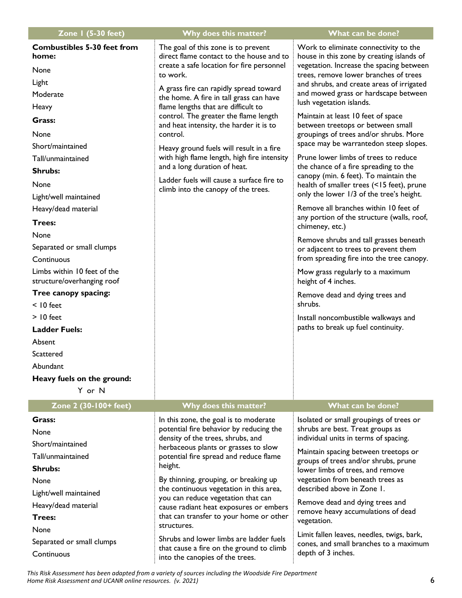| Zone $1(5-30$ feet)                                                                                                                                                                                                                                                                                                                                                                                                                                          | Why does this matter?                                                                                                                                                                                                                                                                                                                                                                                                                                                                                                                                                               | What can be done?                                                                                                                                                                                                                                                                                                                                                                                                                                                                                                                                                                                                                                                                                                                                                                                                                                                                                                                                                                                                                                                                                         |
|--------------------------------------------------------------------------------------------------------------------------------------------------------------------------------------------------------------------------------------------------------------------------------------------------------------------------------------------------------------------------------------------------------------------------------------------------------------|-------------------------------------------------------------------------------------------------------------------------------------------------------------------------------------------------------------------------------------------------------------------------------------------------------------------------------------------------------------------------------------------------------------------------------------------------------------------------------------------------------------------------------------------------------------------------------------|-----------------------------------------------------------------------------------------------------------------------------------------------------------------------------------------------------------------------------------------------------------------------------------------------------------------------------------------------------------------------------------------------------------------------------------------------------------------------------------------------------------------------------------------------------------------------------------------------------------------------------------------------------------------------------------------------------------------------------------------------------------------------------------------------------------------------------------------------------------------------------------------------------------------------------------------------------------------------------------------------------------------------------------------------------------------------------------------------------------|
| <b>Combustibles 5-30 feet from</b><br>home:<br>None<br>Light<br>Moderate<br>Heavy<br>Grass:<br>None<br>Short/maintained<br>Tall/unmaintained<br><b>Shrubs:</b><br>None<br>Light/well maintained<br>Heavy/dead material<br><b>Trees:</b><br>None<br>Separated or small clumps<br>Continuous<br>Limbs within 10 feet of the<br>structure/overhanging roof<br>Tree canopy spacing:<br>$<$ 10 feet<br>$>$ 10 feet<br><b>Ladder Fuels:</b><br>Absent<br>Scattered | The goal of this zone is to prevent<br>direct flame contact to the house and to<br>create a safe location for fire personnel<br>to work.<br>A grass fire can rapidly spread toward<br>the home. A fire in tall grass can have<br>flame lengths that are difficult to<br>control. The greater the flame length<br>and heat intensity, the harder it is to<br>control.<br>Heavy ground fuels will result in a fire<br>with high flame length, high fire intensity<br>and a long duration of heat.<br>Ladder fuels will cause a surface fire to<br>climb into the canopy of the trees. | Work to eliminate connectivity to the<br>house in this zone by creating islands of<br>vegetation. Increase the spacing between<br>trees, remove lower branches of trees<br>and shrubs, and create areas of irrigated<br>and mowed grass or hardscape between<br>lush vegetation islands.<br>Maintain at least 10 feet of space<br>between treetops or between small<br>groupings of trees and/or shrubs. More<br>space may be warrantedon steep slopes.<br>Prune lower limbs of trees to reduce<br>the chance of a fire spreading to the<br>canopy (min. 6 feet). To maintain the<br>health of smaller trees (<15 feet), prune<br>only the lower 1/3 of the tree's height.<br>Remove all branches within 10 feet of<br>any portion of the structure (walls, roof,<br>chimeney, etc.)<br>Remove shrubs and tall grasses beneath<br>or adjacent to trees to prevent them<br>from spreading fire into the tree canopy.<br>Mow grass regularly to a maximum<br>height of 4 inches.<br>Remove dead and dying trees and<br>shrubs.<br>Install noncombustible walkways and<br>paths to break up fuel continuity. |
| Abundant<br>Heavy fuels on the ground:                                                                                                                                                                                                                                                                                                                                                                                                                       |                                                                                                                                                                                                                                                                                                                                                                                                                                                                                                                                                                                     |                                                                                                                                                                                                                                                                                                                                                                                                                                                                                                                                                                                                                                                                                                                                                                                                                                                                                                                                                                                                                                                                                                           |
| Y or N                                                                                                                                                                                                                                                                                                                                                                                                                                                       |                                                                                                                                                                                                                                                                                                                                                                                                                                                                                                                                                                                     |                                                                                                                                                                                                                                                                                                                                                                                                                                                                                                                                                                                                                                                                                                                                                                                                                                                                                                                                                                                                                                                                                                           |
| Zone 2 (30-100+ feet)                                                                                                                                                                                                                                                                                                                                                                                                                                        | Why does this matter?                                                                                                                                                                                                                                                                                                                                                                                                                                                                                                                                                               | What can be done?                                                                                                                                                                                                                                                                                                                                                                                                                                                                                                                                                                                                                                                                                                                                                                                                                                                                                                                                                                                                                                                                                         |
| Grass:<br>None<br>Short/maintained<br>Tall/unmaintained<br><b>Shrubs:</b><br>None<br>Light/well maintained<br>Heavy/dead material<br><b>Trees:</b><br>None                                                                                                                                                                                                                                                                                                   | In this zone, the goal is to moderate<br>potential fire behavior by reducing the<br>density of the trees, shrubs, and<br>herbaceous plants or grasses to slow<br>potential fire spread and reduce flame<br>height.<br>By thinning, grouping, or breaking up<br>the continuous vegetation in this area,<br>you can reduce vegetation that can<br>cause radiant heat exposures or embers<br>that can transfer to your home or other<br>structures.<br>Shrubs and lower limbs are ladder fuels                                                                                         | Isolated or small groupings of trees or<br>shrubs are best. Treat groups as<br>individual units in terms of spacing.<br>Maintain spacing between treetops or<br>groups of trees and/or shrubs, prune<br>lower limbs of trees, and remove<br>vegetation from beneath trees as<br>described above in Zone 1.<br>Remove dead and dying trees and<br>remove heavy accumulations of dead<br>vegetation.<br>Limit fallen leaves, needles, twigs, bark,                                                                                                                                                                                                                                                                                                                                                                                                                                                                                                                                                                                                                                                          |
| Separated or small clumps<br>Continuous                                                                                                                                                                                                                                                                                                                                                                                                                      | that cause a fire on the ground to climb<br>into the canopies of the trees.                                                                                                                                                                                                                                                                                                                                                                                                                                                                                                         | cones, and small branches to a maximum<br>depth of 3 inches.                                                                                                                                                                                                                                                                                                                                                                                                                                                                                                                                                                                                                                                                                                                                                                                                                                                                                                                                                                                                                                              |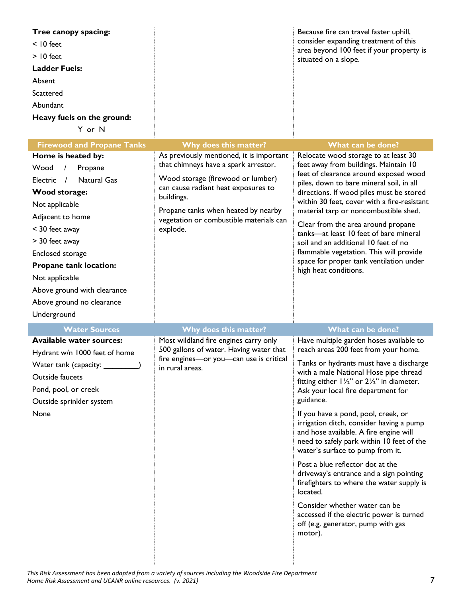| Tree canopy spacing:<br>$<$ 10 feet<br>$>$ 10 feet<br><b>Ladder Fuels:</b><br>Absent<br>Scattered<br>Abundant<br>Heavy fuels on the ground:<br>Y or N                                                                                                                                                                                                  |                                                                                                                                                                                                                                                                          | Because fire can travel faster uphill,<br>consider expanding treatment of this<br>area beyond 100 feet if your property is<br>situated on a slope.                                                                                                                                                                                                                                                                                                                                                                                                                                                                                                                                                                                                                             |
|--------------------------------------------------------------------------------------------------------------------------------------------------------------------------------------------------------------------------------------------------------------------------------------------------------------------------------------------------------|--------------------------------------------------------------------------------------------------------------------------------------------------------------------------------------------------------------------------------------------------------------------------|--------------------------------------------------------------------------------------------------------------------------------------------------------------------------------------------------------------------------------------------------------------------------------------------------------------------------------------------------------------------------------------------------------------------------------------------------------------------------------------------------------------------------------------------------------------------------------------------------------------------------------------------------------------------------------------------------------------------------------------------------------------------------------|
| <b>Firewood and Propane Tanks</b>                                                                                                                                                                                                                                                                                                                      | Why does this matter?                                                                                                                                                                                                                                                    | What can be done?                                                                                                                                                                                                                                                                                                                                                                                                                                                                                                                                                                                                                                                                                                                                                              |
| Home is heated by:<br>Wood<br>Propane<br>$\frac{1}{2}$<br>Electric<br><b>Natural Gas</b><br>$\frac{1}{2}$<br>Wood storage:<br>Not applicable<br>Adjacent to home<br>< 30 feet away<br>> 30 feet away<br>Enclosed storage<br><b>Propane tank location:</b><br>Not applicable<br>Above ground with clearance<br>Above ground no clearance<br>Underground | As previously mentioned, it is important<br>that chimneys have a spark arrestor.<br>Wood storage (firewood or lumber)<br>can cause radiant heat exposures to<br>buildings.<br>Propane tanks when heated by nearby<br>vegetation or combustible materials can<br>explode. | Relocate wood storage to at least 30<br>feet away from buildings. Maintain 10<br>feet of clearance around exposed wood<br>piles, down to bare mineral soil, in all<br>directions. If wood piles must be stored<br>within 30 feet, cover with a fire-resistant<br>material tarp or noncombustible shed.<br>Clear from the area around propane<br>tanks-at least 10 feet of bare mineral<br>soil and an additional 10 feet of no<br>flammable vegetation. This will provide<br>space for proper tank ventilation under<br>high heat conditions.                                                                                                                                                                                                                                  |
| <b>Water Sources</b>                                                                                                                                                                                                                                                                                                                                   | Why does this matter?                                                                                                                                                                                                                                                    | What can be done?                                                                                                                                                                                                                                                                                                                                                                                                                                                                                                                                                                                                                                                                                                                                                              |
| <b>Available water sources:</b><br>Hydrant w/n 1000 feet of home<br>Water tank (capacity: ________<br><b>Outside faucets</b><br>Pond, pool, or creek<br>Outside sprinkler system<br>None                                                                                                                                                               | Most wildland fire engines carry only<br>500 gallons of water. Having water that<br>fire engines-or you-can use is critical<br>in rural areas.                                                                                                                           | Have multiple garden hoses available to<br>reach areas 200 feet from your home.<br>Tanks or hydrants must have a discharge<br>with a male National Hose pipe thread<br>fitting either $1\frac{1}{2}$ " or $2\frac{1}{2}$ " in diameter.<br>Ask your local fire department for<br>guidance.<br>If you have a pond, pool, creek, or<br>irrigation ditch, consider having a pump<br>and hose available. A fire engine will<br>need to safely park within 10 feet of the<br>water's surface to pump from it.<br>Post a blue reflector dot at the<br>driveway's entrance and a sign pointing<br>firefighters to where the water supply is<br>located.<br>Consider whether water can be<br>accessed if the electric power is turned<br>off (e.g. generator, pump with gas<br>motor). |